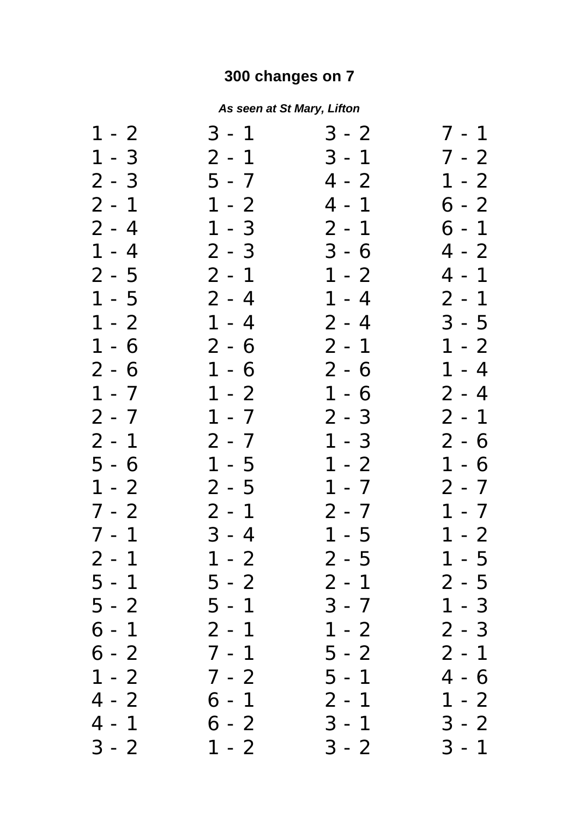## **300 changes on 7**

## *As seen at St Mary, Lifton*

| $1 - 2$ | $3 - 1$ | $3 - 2$ | $7 - 1$ |
|---------|---------|---------|---------|
| $1 - 3$ | $2 - 1$ | $3 - 1$ | 7 - 2   |
| $2 - 3$ | $5 - 7$ | $4 - 2$ | $1 - 2$ |
| $2 - 1$ | $1 - 2$ | $4 - 1$ | $6 - 2$ |
| $2 - 4$ | $1 - 3$ | $2 - 1$ | $6 - 1$ |
| $1 - 4$ | $2 - 3$ | $3 - 6$ | $4 - 2$ |
| $2 - 5$ | $2 - 1$ | $1 - 2$ | $4 - 1$ |
| $1 - 5$ | $2 - 4$ | $1 - 4$ | $2 - 1$ |
| $1 - 2$ | $1 - 4$ | $2 - 4$ | $3 - 5$ |
| $1 - 6$ | $2 - 6$ | $2 - 1$ | $1 - 2$ |
| $2 - 6$ | $1 - 6$ | $2 - 6$ | $1 - 4$ |
| $1 - 7$ | $1 - 2$ | $1 - 6$ | $2 - 4$ |
| $2 - 7$ | $1 - 7$ | $2 - 3$ | $2 - 1$ |
| $2 - 1$ | $2 - 7$ | $1 - 3$ | $2 - 6$ |
| $5 - 6$ | $1 - 5$ | $1 - 2$ | $1 - 6$ |
| $1 - 2$ | $2 - 5$ | $1 - 7$ | $2 - 7$ |
| $7 - 2$ | $2 - 1$ | $2 - 7$ | $1 - 7$ |
| $7 - 1$ | $3 - 4$ | $1 - 5$ | $1 - 2$ |
| $2 - 1$ | $1 - 2$ | $2 - 5$ | $1 - 5$ |
| $5 - 1$ | $5 - 2$ | $2 - 1$ | $2 - 5$ |
| 5 - 2   | 5 - 1   | $3 - 7$ | 1 - 3   |
| 6 - 1   | $2 - 1$ | $1 - 2$ | 2 - 3   |
| 6 - 2   | $7 - 1$ | 5 - 2   | $2 - 1$ |
| $1 - 2$ | $7 - 2$ | $5 - 1$ | 4 - 6   |
| $4 - 2$ | 6 - 1   | $2 - 1$ | $1 - 2$ |
| $4 - 1$ | $6 - 2$ | $3 - 1$ | $3 - 2$ |
| $3 - 2$ | $1 - 2$ | $3 - 2$ | $3 - 1$ |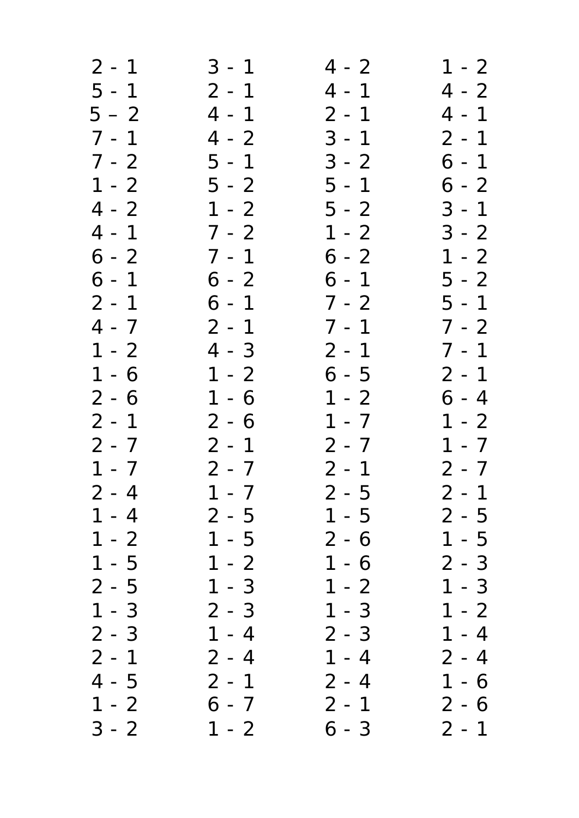| $2 - 1$             | $3 - 1$              | $4 - 2$ | $1 - 2$ |
|---------------------|----------------------|---------|---------|
| $5 - 1$             | $2 - 1$              | $4 - 1$ | $4 - 2$ |
| $5 - 2$             | $4 - 1$              | $2 - 1$ | $4 - 1$ |
| $7 - 1$             | $4 - 2$              | $3 - 1$ | $2 - 1$ |
| $7 - 2$             | $5 - 1$              | $3 - 2$ | $6 - 1$ |
| $1 - 2$             | $5 - 2$              | $5 - 1$ | $6 - 2$ |
| $4 - 2$             | $1 - 2$              | $5 - 2$ | $3 - 1$ |
| $4 - 1$             | $7 - 2$              | $1 - 2$ | $3 - 2$ |
| $6 - 2$             | $7 - 1$              | $6 - 2$ | $1 - 2$ |
| $6 - 1$             | $6 - 2$              | $6 - 1$ | $5 - 2$ |
| $2 - 1$             | $6 - 1$              | $7 - 2$ | $5 - 1$ |
| $4 - 7$             | $2 - 1$              | $7 - 1$ | $7 - 2$ |
| $1 - 2$             | $4 - 3$              | $2 - 1$ | $7 - 1$ |
| $1 - 6$             | $1 - 2$              | $6 - 5$ | $2 - 1$ |
| $2 - 6$             | $-6$<br>$\mathbf{1}$ | $1 - 2$ | $6 - 4$ |
| $2 - 1$             | $2 - 6$              | $1 - 7$ | $1 - 2$ |
| $2 - 7$             | $2 - 1$              | $2 - 7$ | $1 - 7$ |
| $1 - 7$             | $2 - 7$              | $2 - 1$ | $2 - 7$ |
| $2 - 4$             | $1 - 7$              | $2 - 5$ | $2 - 1$ |
| $1 - 4$             | 2 - 5                | $1 - 5$ | $2 - 5$ |
| $1 - 2$             | $1 - 5$              | 2 - 6   | 1 - 5   |
| $-5$<br>$\mathbf 1$ | $\mathbf 1$<br>$-2$  | 1 - 6   | $2 - 3$ |
| $2 - 5$             | $1 - 3$              | $1 - 2$ | 1 - 3   |
| $1 - 3$             | $2 - 3$              | $1 - 3$ | $1 - 2$ |
| $2 - 3$             | $1 - 4$              | $2 - 3$ | $1 - 4$ |
| $2 - 1$             | $2 - 4$              | $1 - 4$ | $2 - 4$ |
| $-5$<br>4           | $2 - 1$              | $2 - 4$ | 1 - 6   |
| $1 - 2$             | 6 - 7                | $2 - 1$ | 2 - 6   |
| $3 - 2$             | $1 - 2$              | 6 - 3   | $2 - 1$ |
|                     |                      |         |         |